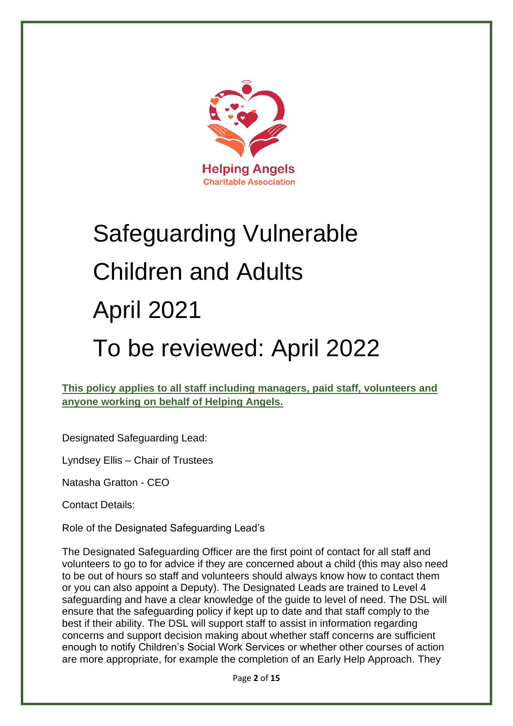

# Safeguarding Vulnerable Children and Adults April 2021

# To be reviewed: April 2022

**This policy applies to all staff including managers, paid staff, volunteers and anyone working on behalf of Helping Angels.** 

Designated Safeguarding Lead:

Lyndsey Ellis – Chair of Trustees

Natasha Gratton - CEO

Contact Details:

Role of the Designated Safeguarding Lead's

The Designated Safeguarding Officer are the first point of contact for all staff and volunteers to go to for advice if they are concerned about a child (this may also need to be out of hours so staff and volunteers should always know how to contact them or you can also appoint a Deputy). The Designated Leads are trained to Level 4 safeguarding and have a clear knowledge of the guide to level of need. The DSL will ensure that the safeguarding policy if kept up to date and that staff comply to the best if their ability. The DSL will support staff to assist in information regarding concerns and support decision making about whether staff concerns are sufficient enough to notify Children's Social Work Services or whether other courses of action are more appropriate, for example the completion of an [Early Help Approach.](about:blank) They

Page **2** of **15**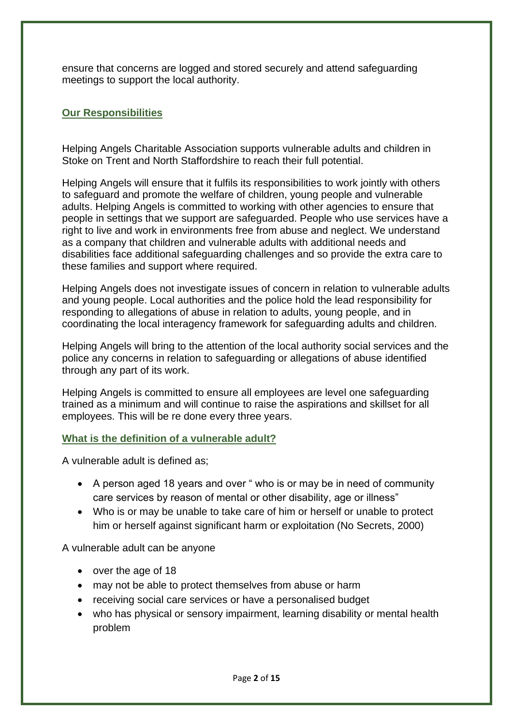ensure that concerns are logged and stored securely and attend safeguarding meetings to support the local authority.

### **Our Responsibilities**

Helping Angels Charitable Association supports vulnerable adults and children in Stoke on Trent and North Staffordshire to reach their full potential.

Helping Angels will ensure that it fulfils its responsibilities to work jointly with others to safeguard and promote the welfare of children, young people and vulnerable adults. Helping Angels is committed to working with other agencies to ensure that people in settings that we support are safeguarded. People who use services have a right to live and work in environments free from abuse and neglect. We understand as a company that children and vulnerable adults with additional needs and disabilities face additional safeguarding challenges and so provide the extra care to these families and support where required.

Helping Angels does not investigate issues of concern in relation to vulnerable adults and young people. Local authorities and the police hold the lead responsibility for responding to allegations of abuse in relation to adults, young people, and in coordinating the local interagency framework for safeguarding adults and children.

Helping Angels will bring to the attention of the local authority social services and the police any concerns in relation to safeguarding or allegations of abuse identified through any part of its work.

Helping Angels is committed to ensure all employees are level one safeguarding trained as a minimum and will continue to raise the aspirations and skillset for all employees. This will be re done every three years.

#### **What is the definition of a vulnerable adult?**

A vulnerable adult is defined as;

- A person aged 18 years and over " who is or may be in need of community care services by reason of mental or other disability, age or illness"
- Who is or may be unable to take care of him or herself or unable to protect him or herself against significant harm or exploitation (No Secrets, 2000)

A vulnerable adult can be anyone

- over the age of 18
- may not be able to protect themselves from abuse or harm
- receiving social care services or have a personalised budget
- who has physical or sensory impairment, learning disability or mental health problem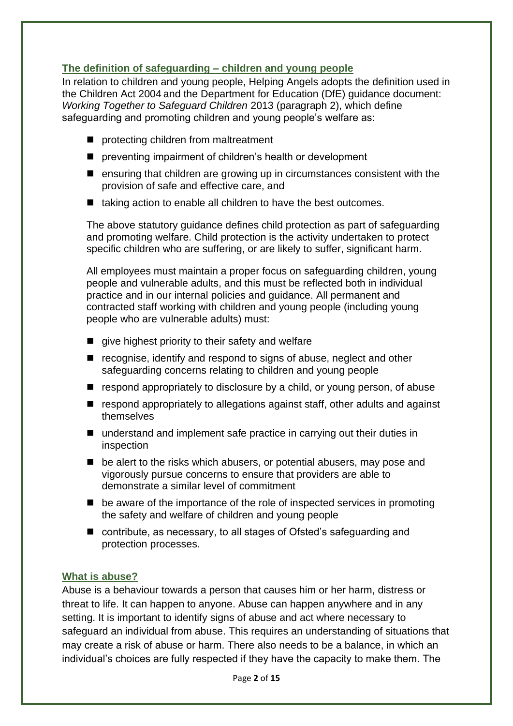# **The definition of safeguarding – children and young people**

In relation to children and young people, Helping Angels adopts the definition used in the Children Act 2004 and the Department for Education (DfE) guidance document: *Working Together to Safeguard Children* 2013 (paragraph 2), which define safeguarding and promoting children and young people's welfare as:

- protecting children from maltreatment
- preventing impairment of children's health or development
- ensuring that children are growing up in circumstances consistent with the provision of safe and effective care, and
- taking action to enable all children to have the best outcomes.

The above statutory guidance defines child protection as part of safeguarding and promoting welfare. Child protection is the activity undertaken to protect specific children who are suffering, or are likely to suffer, significant harm.

All employees must maintain a proper focus on safeguarding children, young people and vulnerable adults, and this must be reflected both in individual practice and in our internal policies and guidance. All permanent and contracted staff working with children and young people (including young people who are vulnerable adults) must:

- $\blacksquare$  give highest priority to their safety and welfare
- recognise, identify and respond to signs of abuse, neglect and other safeguarding concerns relating to children and young people
- respond appropriately to disclosure by a child, or young person, of abuse
- respond appropriately to allegations against staff, other adults and against themselves
- understand and implement safe practice in carrying out their duties in inspection
- be alert to the risks which abusers, or potential abusers, may pose and vigorously pursue concerns to ensure that providers are able to demonstrate a similar level of commitment
- be aware of the importance of the role of inspected services in promoting the safety and welfare of children and young people
- contribute, as necessary, to all stages of Ofsted's safeguarding and protection processes.

#### **What is abuse?**

Abuse is a behaviour towards a person that causes him or her harm, distress or threat to life. It can happen to anyone. Abuse can happen anywhere and in any setting. It is important to identify signs of abuse and act where necessary to safeguard an individual from abuse. This requires an understanding of situations that may create a risk of abuse or harm. There also needs to be a balance, in which an individual's choices are fully respected if they have the capacity to make them. The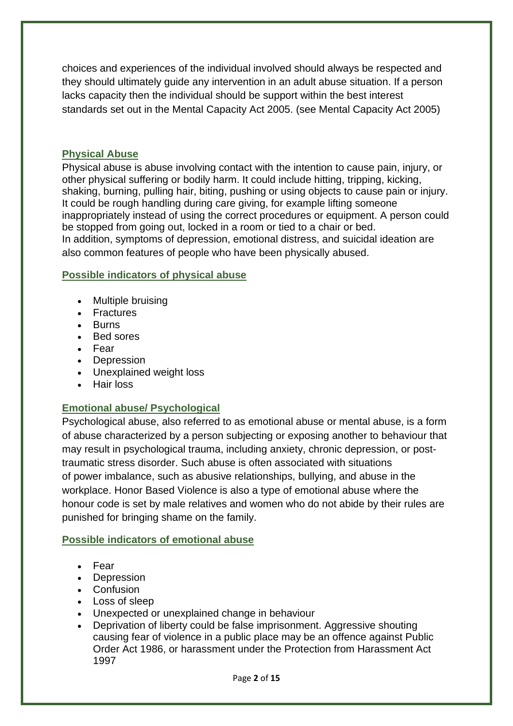choices and experiences of the individual involved should always be respected and they should ultimately guide any intervention in an adult abuse situation. If a person lacks capacity then the individual should be support within the best interest standards set out in the Mental Capacity Act 2005. (see Mental Capacity Act 2005)

#### **Physical Abuse**

Physical abuse is abuse involving contact with the intention to cause pain, injury, or other physical suffering or bodily harm. It could include hitting, tripping, kicking, shaking, burning, pulling hair, biting, pushing or using objects to cause pain or injury. It could be rough handling during care giving, for example lifting someone inappropriately instead of using the correct procedures or equipment. A person could be stopped from going out, locked in a room or tied to a chair or bed. In addition, symptoms of depression, emotional distress, and [suicidal ideation](about:blank) are also common features of people who have been physically abused.

#### **Possible indicators of physical abuse**

- Multiple bruising
- Fractures
- Burns
- Bed sores
- Fear
- Depression
- Unexplained weight loss
- Hair loss

#### **Emotional abuse/ Psychological**

Psychological abuse, also referred to as emotional abuse or mental abuse, is a form of [abuse](about:blank) characterized by a person subjecting or exposing another to behaviour that may result in psychological trauma, including anxiety, chronic depression, or posttraumatic stress disorder. Such abuse is often associated with situations of [power](about:blank) imbalance, such as abusive relationships, bullying, and abuse in the workplace. Honor Based Violence is also a type of emotional abuse where the honour code is set by male relatives and women who do not abide by their rules are punished for bringing shame on the family.

#### **Possible indicators of emotional abuse**

- Fear
- Depression
- Confusion
- Loss of sleep
- Unexpected or unexplained change in behaviour
- Deprivation of liberty could be false imprisonment. Aggressive shouting causing fear of violence in a public place may be an offence against Public Order Act 1986, or harassment under the Protection from Harassment Act 1997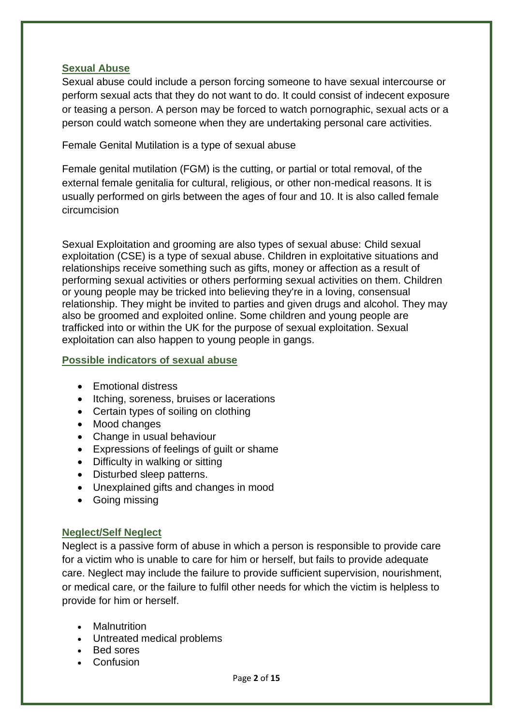#### **Sexual Abuse**

Sexual abuse could include a person forcing someone to have sexual intercourse or perform sexual acts that they do not want to do. It could consist of indecent exposure or teasing a person. A person may be forced to watch pornographic, sexual acts or a person could watch someone when they are undertaking personal care activities.

Female Genital Mutilation is a type of sexual abuse

Female genital mutilation (FGM) is the cutting, or partial or total removal, of the external female genitalia for cultural, religious, or other non-medical reasons. It is usually performed on girls between the ages of four and 10. It is also called female [circumcision](about:blank)

Sexual Exploitation and grooming are also types of sexual abuse: Child sexual exploitation (CSE) is a type of [sexual abuse.](about:blank) Children in exploitative situations and relationships receive something such as gifts, money or affection as a result of performing sexual activities or others performing sexual activities on them. Children or young people may be tricked into believing they're in a loving, consensual relationship. They might be invited to parties and given drugs and alcohol. They may also be [groomed](about:blank) and exploited [online.](about:blank) Some children and young people are [trafficked](about:blank) into or within the UK for the purpose of sexual exploitation. Sexual exploitation can also happen to [young people in gangs.](about:blank)

#### **Possible indicators of sexual abuse**

- Emotional distress
- Itching, soreness, bruises or lacerations
- Certain types of soiling on clothing
- Mood changes
- Change in usual behaviour
- Expressions of feelings of guilt or shame
- Difficulty in walking or sitting
- Disturbed sleep patterns.
- Unexplained gifts and changes in mood
- Going missing

#### **Neglect/Self Neglect**

Neglect is a passive form of abuse in which a person is responsible to provide care for a victim who is unable to care for him or herself, but fails to provide adequate care. Neglect may include the failure to provide sufficient supervision, nourishment, or medical care, or the failure to fulfil other needs for which the victim is helpless to provide for him or herself.

- Malnutrition
- Untreated medical problems
- Bed sores
- Confusion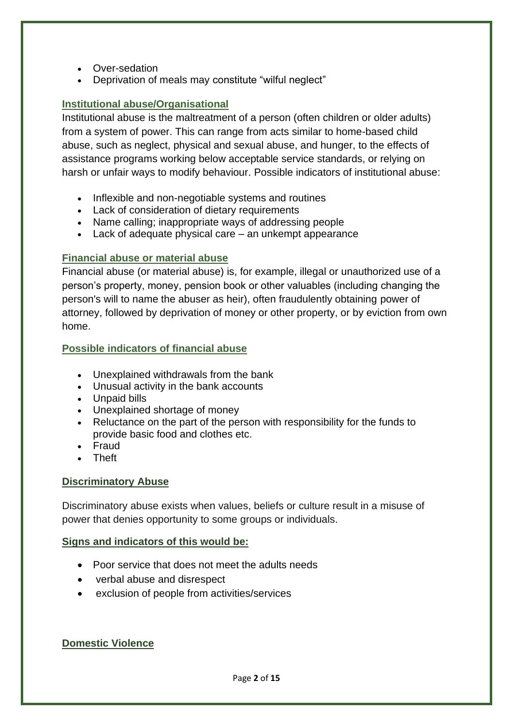- Over-sedation
- Deprivation of meals may constitute "wilful neglect"

### **Institutional abuse/Organisational**

Institutional abuse is the maltreatment of a person (often children or older adults) from a system of [power.](about:blank) This can range from acts similar to home-based child abuse, such as neglect, physical and sexual abuse, and hunger, to the effects of assistance programs working below acceptable service standards, or relying on harsh or unfair ways to modify behaviour. Possible indicators of institutional abuse:

- Inflexible and non-negotiable systems and routines
- Lack of consideration of dietary requirements
- Name calling; inappropriate ways of addressing people
- Lack of adequate physical care an unkempt appearance

#### **Financial abuse or material abuse**

Financial abuse (or material abuse) is, for example, illegal or unauthorized use of a person's property, money, pension book or other valuables (including changing the person's will to name the abuser as heir), often fraudulently obtaining power of attorney, followed by deprivation of money or other property, or by eviction from own home.

#### **Possible indicators of financial abuse**

- Unexplained withdrawals from the bank
- Unusual activity in the bank accounts
- Unpaid bills
- Unexplained shortage of money
- Reluctance on the part of the person with responsibility for the funds to provide basic food and clothes etc.
- Fraud
- Theft

#### **Discriminatory Abuse**

Discriminatory abuse exists when values, beliefs or culture result in a misuse of power that denies opportunity to some groups or individuals.

#### **Signs and indicators of this would be:**

- Poor service that does not meet the adults needs
- verbal abuse and disrespect
- exclusion of people from activities/services

#### **Domestic Violence**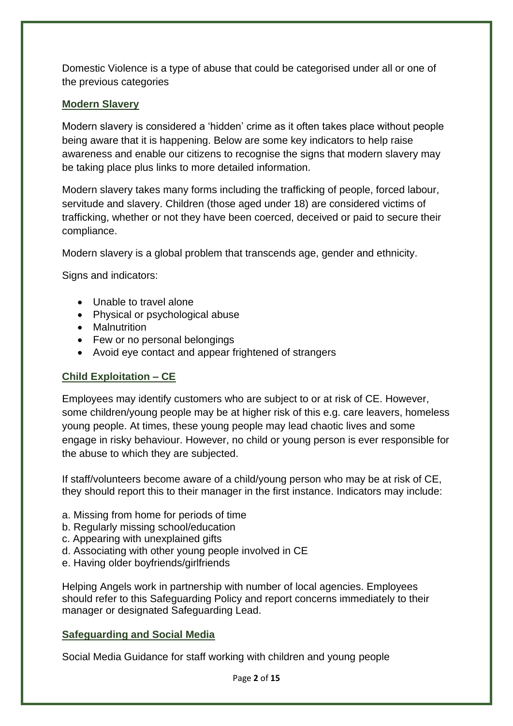Domestic Violence is a type of abuse that could be categorised under all or one of the previous categories

#### **Modern Slavery**

Modern slavery is considered a 'hidden' crime as it often takes place without people being aware that it is happening. Below are some key indicators to help raise awareness and enable our citizens to recognise the signs that modern slavery may be taking place plus links to more detailed information.

Modern slavery takes many forms including the trafficking of people, forced labour, servitude and slavery. Children (those aged under 18) are considered victims of trafficking, whether or not they have been coerced, deceived or paid to secure their compliance.

Modern slavery is a global problem that transcends age, gender and ethnicity.

Signs and indicators:

- Unable to travel alone
- Physical or psychological abuse
- Malnutrition
- Few or no personal belongings
- Avoid eye contact and appear frightened of strangers

#### **Child Exploitation – CE**

Employees may identify customers who are subject to or at risk of CE. However, some children/young people may be at higher risk of this e.g. care leavers, homeless young people. At times, these young people may lead chaotic lives and some engage in risky behaviour. However, no child or young person is ever responsible for the abuse to which they are subjected.

If staff/volunteers become aware of a child/young person who may be at risk of CE, they should report this to their manager in the first instance. Indicators may include:

- a. Missing from home for periods of time
- b. Regularly missing school/education
- c. Appearing with unexplained gifts
- d. Associating with other young people involved in CE
- e. Having older boyfriends/girlfriends

Helping Angels work in partnership with number of local agencies. Employees should refer to this Safeguarding Policy and report concerns immediately to their manager or designated Safeguarding Lead.

#### **Safeguarding and Social Media**

Social Media Guidance for staff working with children and young people

Page **2** of **15**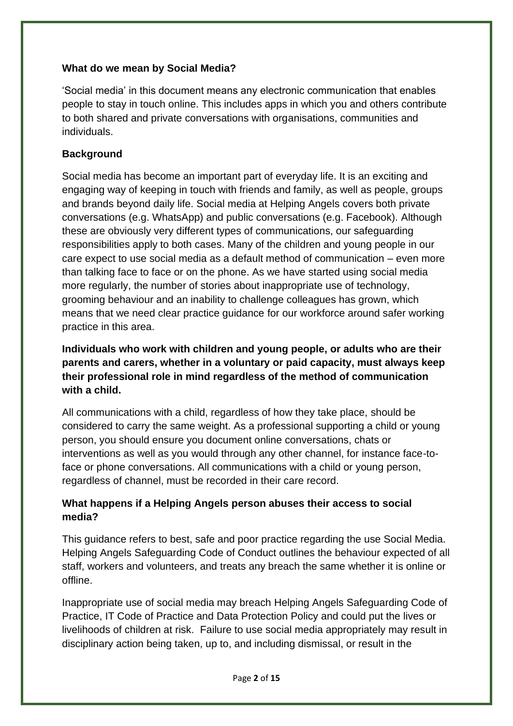#### **What do we mean by Social Media?**

'Social media' in this document means any electronic communication that enables people to stay in touch online. This includes apps in which you and others contribute to both shared and private conversations with organisations, communities and individuals.

# **Background**

Social media has become an important part of everyday life. It is an exciting and engaging way of keeping in touch with friends and family, as well as people, groups and brands beyond daily life. Social media at Helping Angels covers both private conversations (e.g. WhatsApp) and public conversations (e.g. Facebook). Although these are obviously very different types of communications, our safeguarding responsibilities apply to both cases. Many of the children and young people in our care expect to use social media as a default method of communication – even more than talking face to face or on the phone. As we have started using social media more regularly, the number of stories about inappropriate use of technology, grooming behaviour and an inability to challenge colleagues has grown, which means that we need clear practice guidance for our workforce around safer working practice in this area.

**Individuals who work with children and young people, or adults who are their parents and carers, whether in a voluntary or paid capacity, must always keep their professional role in mind regardless of the method of communication with a child.** 

All communications with a child, regardless of how they take place, should be considered to carry the same weight. As a professional supporting a child or young person, you should ensure you document online conversations, chats or interventions as well as you would through any other channel, for instance face-toface or phone conversations. All communications with a child or young person, regardless of channel, must be recorded in their care record.

# **What happens if a Helping Angels person abuses their access to social media?**

This guidance refers to best, safe and poor practice regarding the use Social Media. Helping Angels Safeguarding Code of Conduct outlines the behaviour expected of all staff, workers and volunteers, and treats any breach the same whether it is online or offline.

Inappropriate use of social media may breach Helping Angels Safeguarding Code of Practice, IT Code of Practice and Data Protection Policy and could put the lives or livelihoods of children at risk. Failure to use social media appropriately may result in disciplinary action being taken, up to, and including dismissal, or result in the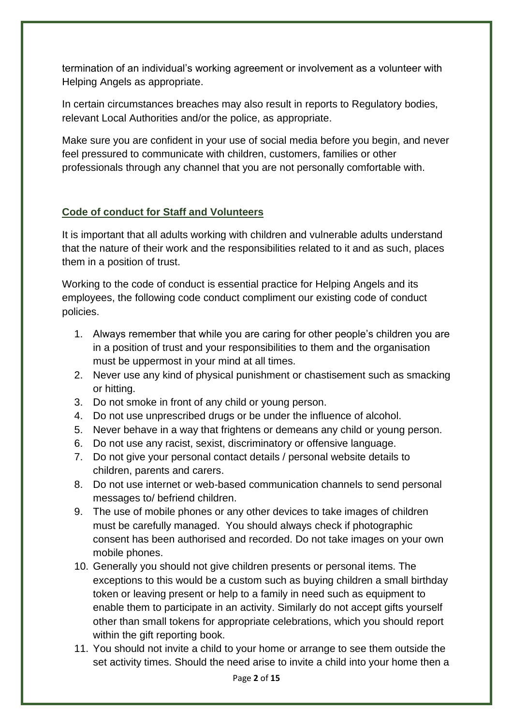termination of an individual's working agreement or involvement as a volunteer with Helping Angels as appropriate.

In certain circumstances breaches may also result in reports to Regulatory bodies, relevant Local Authorities and/or the police, as appropriate.

Make sure you are confident in your use of social media before you begin, and never feel pressured to communicate with children, customers, families or other professionals through any channel that you are not personally comfortable with.

# **Code of conduct for Staff and Volunteers**

It is important that all adults working with children and vulnerable adults understand that the nature of their work and the responsibilities related to it and as such, places them in a position of trust.

Working to the code of conduct is essential practice for Helping Angels and its employees, the following code conduct compliment our existing code of conduct policies.

- 1. Always remember that while you are caring for other people's children you are in a position of trust and your responsibilities to them and the organisation must be uppermost in your mind at all times.
- 2. Never use any kind of physical punishment or chastisement such as smacking or hitting.
- 3. Do not smoke in front of any child or young person.
- 4. Do not use unprescribed drugs or be under the influence of alcohol.
- 5. Never behave in a way that frightens or demeans any child or young person.
- 6. Do not use any racist, sexist, discriminatory or offensive language.
- 7. Do not give your personal contact details / personal website details to children, parents and carers.
- 8. Do not use internet or web-based communication channels to send personal messages to/ befriend children.
- 9. The use of mobile phones or any other devices to take images of children must be carefully managed. You should always check if photographic consent has been authorised and recorded. Do not take images on your own mobile phones.
- 10. Generally you should not give children presents or personal items. The exceptions to this would be a custom such as buying children a small birthday token or leaving present or help to a family in need such as equipment to enable them to participate in an activity. Similarly do not accept gifts yourself other than small tokens for appropriate celebrations, which you should report within the gift reporting book.
- 11. You should not invite a child to your home or arrange to see them outside the set activity times. Should the need arise to invite a child into your home then a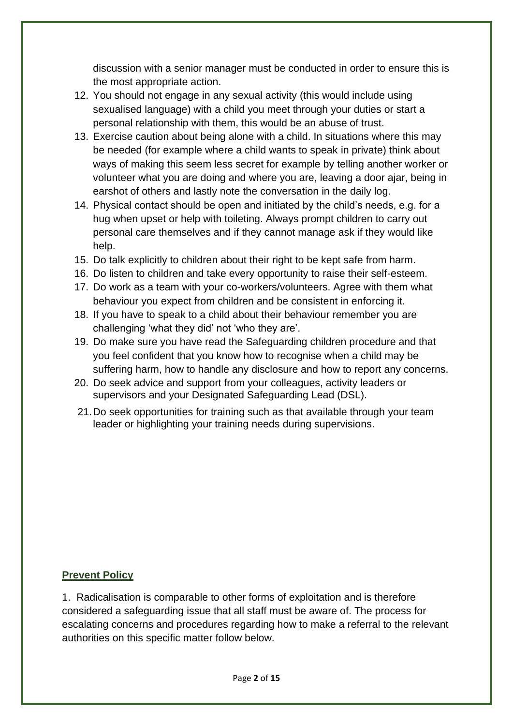discussion with a senior manager must be conducted in order to ensure this is the most appropriate action.

- 12. You should not engage in any sexual activity (this would include using sexualised language) with a child you meet through your duties or start a personal relationship with them, this would be an abuse of trust.
- 13. Exercise caution about being alone with a child. In situations where this may be needed (for example where a child wants to speak in private) think about ways of making this seem less secret for example by telling another worker or volunteer what you are doing and where you are, leaving a door ajar, being in earshot of others and lastly note the conversation in the daily log.
- 14. Physical contact should be open and initiated by the child's needs, e.g. for a hug when upset or help with toileting. Always prompt children to carry out personal care themselves and if they cannot manage ask if they would like help.
- 15. Do talk explicitly to children about their right to be kept safe from harm.
- 16. Do listen to children and take every opportunity to raise their self-esteem.
- 17. Do work as a team with your co-workers/volunteers. Agree with them what behaviour you expect from children and be consistent in enforcing it.
- 18. If you have to speak to a child about their behaviour remember you are challenging 'what they did' not 'who they are'.
- 19. Do make sure you have read the Safeguarding children procedure and that you feel confident that you know how to recognise when a child may be suffering harm, how to handle any disclosure and how to report any concerns.
- 20. Do seek advice and support from your colleagues, activity leaders or supervisors and your Designated Safeguarding Lead (DSL).
- 21.Do seek opportunities for training such as that available through your team leader or highlighting your training needs during supervisions.

#### **Prevent Policy**

1. Radicalisation is comparable to other forms of exploitation and is therefore considered a safeguarding issue that all staff must be aware of. The process for escalating concerns and procedures regarding how to make a referral to the relevant authorities on this specific matter follow below.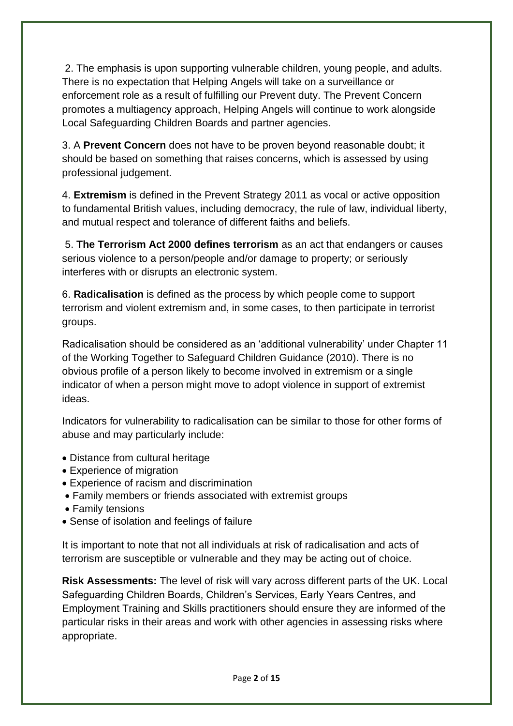2. The emphasis is upon supporting vulnerable children, young people, and adults. There is no expectation that Helping Angels will take on a surveillance or enforcement role as a result of fulfilling our Prevent duty. The Prevent Concern promotes a multiagency approach, Helping Angels will continue to work alongside Local Safeguarding Children Boards and partner agencies.

3. A **Prevent Concern** does not have to be proven beyond reasonable doubt; it should be based on something that raises concerns, which is assessed by using professional judgement.

4. **Extremism** is defined in the Prevent Strategy 2011 as vocal or active opposition to fundamental British values, including democracy, the rule of law, individual liberty, and mutual respect and tolerance of different faiths and beliefs.

5. **The Terrorism Act 2000 defines terrorism** as an act that endangers or causes serious violence to a person/people and/or damage to property; or seriously interferes with or disrupts an electronic system.

6. **Radicalisation** is defined as the process by which people come to support terrorism and violent extremism and, in some cases, to then participate in terrorist groups.

Radicalisation should be considered as an 'additional vulnerability' under Chapter 11 of the Working Together to Safeguard Children Guidance (2010). There is no obvious profile of a person likely to become involved in extremism or a single indicator of when a person might move to adopt violence in support of extremist ideas.

Indicators for vulnerability to radicalisation can be similar to those for other forms of abuse and may particularly include:

- Distance from cultural heritage
- Experience of migration
- Experience of racism and discrimination
- Family members or friends associated with extremist groups
- Family tensions
- Sense of isolation and feelings of failure

It is important to note that not all individuals at risk of radicalisation and acts of terrorism are susceptible or vulnerable and they may be acting out of choice.

**Risk Assessments:** The level of risk will vary across different parts of the UK. Local Safeguarding Children Boards, Children's Services, Early Years Centres, and Employment Training and Skills practitioners should ensure they are informed of the particular risks in their areas and work with other agencies in assessing risks where appropriate.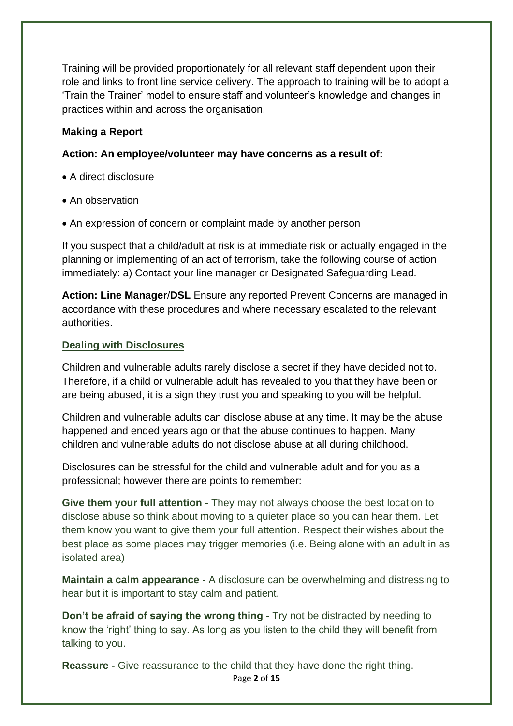Training will be provided proportionately for all relevant staff dependent upon their role and links to front line service delivery. The approach to training will be to adopt a 'Train the Trainer' model to ensure staff and volunteer's knowledge and changes in practices within and across the organisation.

#### **Making a Report**

#### **Action: An employee/volunteer may have concerns as a result of:**

- A direct disclosure
- An observation
- An expression of concern or complaint made by another person

If you suspect that a child/adult at risk is at immediate risk or actually engaged in the planning or implementing of an act of terrorism, take the following course of action immediately: a) Contact your line manager or Designated Safeguarding Lead.

**Action: Line Manager**/**DSL** Ensure any reported Prevent Concerns are managed in accordance with these procedures and where necessary escalated to the relevant authorities.

#### **Dealing with Disclosures**

Children and vulnerable adults rarely disclose a secret if they have decided not to. Therefore, if a child or vulnerable adult has revealed to you that they have been or are being abused, it is a sign they trust you and speaking to you will be helpful.

Children and vulnerable adults can disclose abuse at any time. It may be the abuse happened and ended years ago or that the abuse continues to happen. Many children and vulnerable adults do not disclose abuse at all during childhood.

Disclosures can be stressful for the child and vulnerable adult and for you as a professional; however there are points to remember:

**Give them your full attention -** They may not always choose the best location to disclose abuse so think about moving to a quieter place so you can hear them. Let them know you want to give them your full attention. Respect their wishes about the best place as some places may trigger memories (i.e. Being alone with an adult in as isolated area)

**Maintain a calm appearance -** A disclosure can be overwhelming and distressing to hear but it is important to stay calm and patient.

**Don't be afraid of saying the wrong thing - Try not be distracted by needing to** know the 'right' thing to say. As long as you listen to the child they will benefit from talking to you.

Page **2** of **15 Reassure -** Give reassurance to the child that they have done the right thing.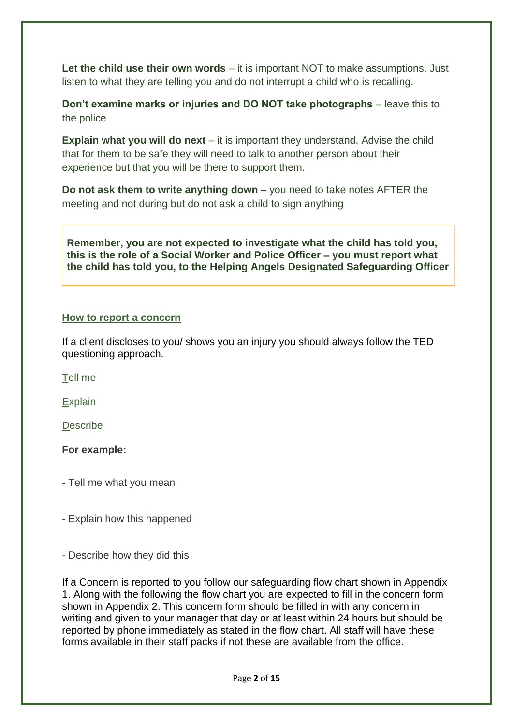Let the child use their own words – it is important NOT to make assumptions. Just listen to what they are telling you and do not interrupt a child who is recalling.

**Don't examine marks or injuries and DO NOT take photographs** – leave this to the police

**Explain what you will do next** – it is important they understand. Advise the child that for them to be safe they will need to talk to another person about their experience but that you will be there to support them.

**Do not ask them to write anything down** – you need to take notes AFTER the meeting and not during but do not ask a child to sign anything

**Remember, you are not expected to investigate what the child has told you, this is the role of a Social Worker and Police Officer – you must report what the child has told you, to the Helping Angels Designated Safeguarding Officer**

#### **How to report a concern**

If a client discloses to you/ shows you an injury you should always follow the TED questioning approach.

Tell me

**Explain** 

**Describe** 

**For example:**

- Tell me what you mean

- Explain how this happened

- Describe how they did this

If a Concern is reported to you follow our safeguarding flow chart shown in Appendix 1. Along with the following the flow chart you are expected to fill in the concern form shown in Appendix 2. This concern form should be filled in with any concern in writing and given to your manager that day or at least within 24 hours but should be reported by phone immediately as stated in the flow chart. All staff will have these forms available in their staff packs if not these are available from the office.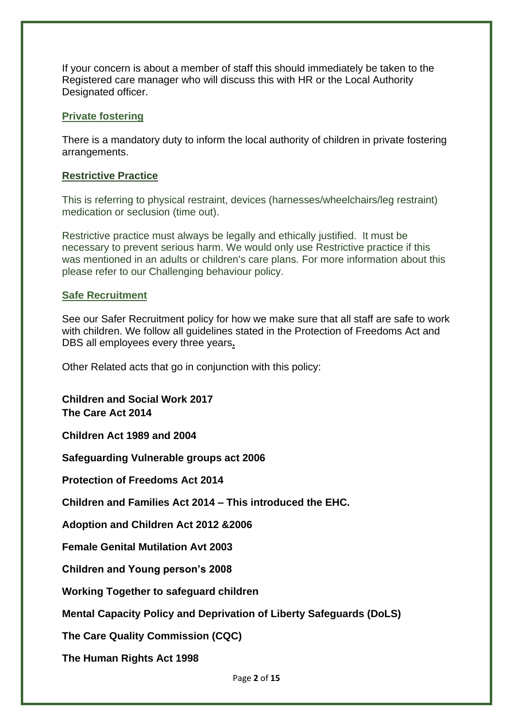If your concern is about a member of staff this should immediately be taken to the Registered care manager who will discuss this with HR or the Local Authority Designated officer.

#### **Private fostering**

There is a mandatory duty to inform the local authority of children in private fostering arrangements.

#### **Restrictive Practice**

This is referring to physical restraint, devices (harnesses/wheelchairs/leg restraint) medication or seclusion (time out).

Restrictive practice must always be legally and ethically justified. It must be necessary to prevent serious harm. We would only use Restrictive practice if this was mentioned in an adults or children's care plans. For more information about this please refer to our Challenging behaviour policy.

#### **Safe Recruitment**

See our Safer Recruitment policy for how we make sure that all staff are safe to work with children. We follow all guidelines stated in the Protection of Freedoms Act and DBS all employees every three years**.**

Other Related acts that go in conjunction with this policy:

**Children and Social Work 2017 The Care Act 2014**

**Children Act 1989 and 2004**

**Safeguarding Vulnerable groups act 2006**

**Protection of Freedoms Act 2014**

**Children and Families Act 2014 – This introduced the EHC.** 

**Adoption and Children Act 2012 &2006**

**Female Genital Mutilation Avt 2003**

**Children and Young person's 2008**

**Working Together to safeguard children**

**Mental Capacity Policy and Deprivation of Liberty Safeguards (DoLS)**

**The Care Quality Commission (CQC)**

**The Human Rights Act 1998**

Page **2** of **15**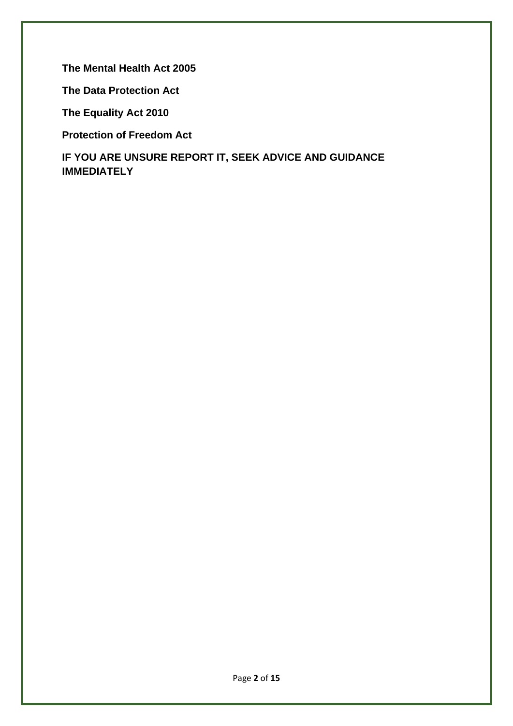**The Mental Health Act 2005**

**The Data Protection Act**

**The Equality Act 2010**

**Protection of Freedom Act** 

**IF YOU ARE UNSURE REPORT IT, SEEK ADVICE AND GUIDANCE IMMEDIATELY**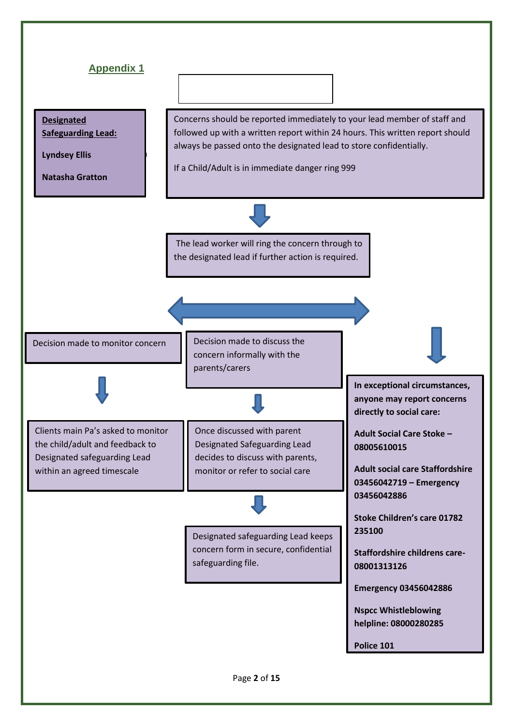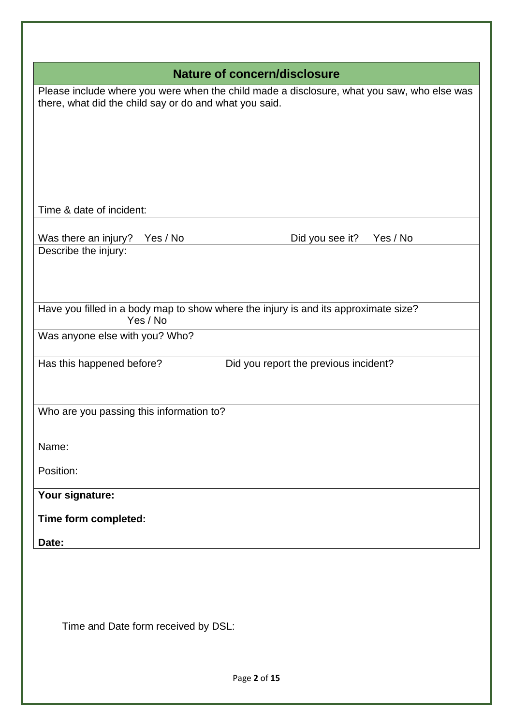| <b>Nature of concern/disclosure</b>                                                                                                                  |                                       |
|------------------------------------------------------------------------------------------------------------------------------------------------------|---------------------------------------|
| Please include where you were when the child made a disclosure, what you saw, who else was<br>there, what did the child say or do and what you said. |                                       |
| Time & date of incident:                                                                                                                             |                                       |
| Was there an injury?<br>Yes / No<br>Describe the injury:                                                                                             | Did you see it?<br>Yes / No           |
| Have you filled in a body map to show where the injury is and its approximate size?<br>Yes / No                                                      |                                       |
| Was anyone else with you? Who?                                                                                                                       |                                       |
| Has this happened before?                                                                                                                            | Did you report the previous incident? |
| Who are you passing this information to?                                                                                                             |                                       |
| Name:                                                                                                                                                |                                       |
| Position:                                                                                                                                            |                                       |
| Your signature:                                                                                                                                      |                                       |
| Time form completed:                                                                                                                                 |                                       |
| Date:                                                                                                                                                |                                       |
|                                                                                                                                                      |                                       |

Time and Date form received by DSL: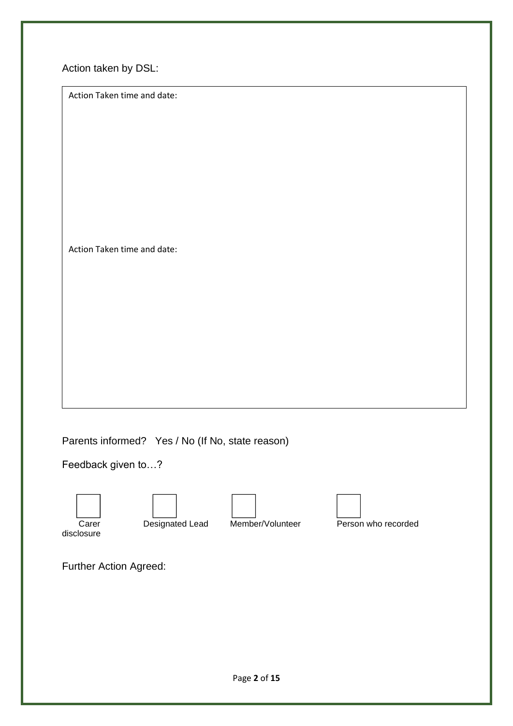Action taken by DSL:

Action Taken time and date:

Action Taken time and date:

Parents informed? Yes / No (If No, state reason)

Feedback given to…?







disclosure

Carer **Designated Lead** Member/Volunteer **Person who recorded** 

Further Action Agreed: